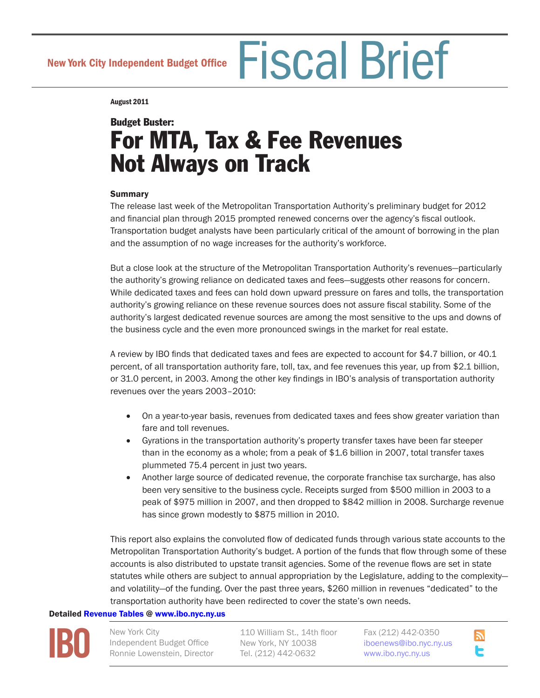New York City Independent Budget Office Fiscal Brief

August 2011

# Budget Buster: For MTA, Tax & Fee Revenues Not Always on Track

## **Summary**

The release last week of the Metropolitan Transportation Authority's preliminary budget for 2012 and financial plan through 2015 prompted renewed concerns over the agency's fiscal outlook. Transportation budget analysts have been particularly critical of the amount of borrowing in the plan and the assumption of no wage increases for the authority's workforce.

But a close look at the structure of the Metropolitan Transportation Authority's revenues—particularly the authority's growing reliance on dedicated taxes and fees—suggests other reasons for concern. While dedicated taxes and fees can hold down upward pressure on fares and tolls, the transportation authority's growing reliance on these revenue sources does not assure fiscal stability. Some of the authority's largest dedicated revenue sources are among the most sensitive to the ups and downs of the business cycle and the even more pronounced swings in the market for real estate.

A review by IBO finds that dedicated taxes and fees are expected to account for \$4.7 billion, or 40.1 percent, of all transportation authority fare, toll, tax, and fee revenues this year, up from \$2.1 billion, or 31.0 percent, in 2003. Among the other key findings in IBO's analysis of transportation authority revenues over the years 2003–2010:

- On a year-to-year basis, revenues from dedicated taxes and fees show greater variation than fare and toll revenues.
- • Gyrations in the transportation authority's property transfer taxes have been far steeper than in the economy as a whole; from a peak of \$1.6 billion in 2007, total transfer taxes plummeted 75.4 percent in just two years.
- Another large source of dedicated revenue, the corporate franchise tax surcharge, has also been very sensitive to the business cycle. Receipts surged from \$500 million in 2003 to a peak of \$975 million in 2007, and then dropped to \$842 million in 2008. Surcharge revenue has since grown modestly to \$875 million in 2010.

This report also explains the convoluted flow of dedicated funds through various state accounts to the Metropolitan Transportation Authority's budget. A portion of the funds that flow through some of these accounts is also distributed to upstate transit agencies. Some of the revenue flows are set in state statutes while others are subject to annual appropriation by the Legislature, adding to the complexity and volatility—of the funding. Over the past three years, \$260 million in revenues "dedicated" to the transportation authority have been redirected to cover the state's own needs.

## Detailed [Revenue Tables](http://bit.ly/rlN1qj ) @ [www.ibo.nyc.ny.us](http://www.ibo.nyc.ny.us)



New York City Independent Budget Office Ronnie Lowenstein, Director

110 William St., 14th floor New York, NY 10038 Tel. (212) 442-0632

Fax (212) 442-0350 i[boenews@ibo.nyc.ny.us](mailto:iboenews@ibo.nyc.ny.us) <www.ibo.nyc.ny.us>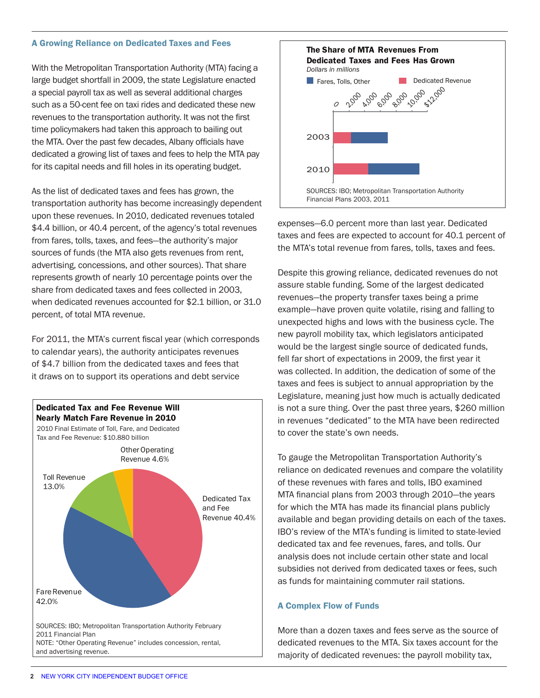#### A Growing Reliance on Dedicated Taxes and Fees

With the Metropolitan Transportation Authority (MTA) facing a large budget shortfall in 2009, the state Legislature enacted a special payroll tax as well as several additional charges such as a 50-cent fee on taxi rides and dedicated these new revenues to the transportation authority. It was not the first time policymakers had taken this approach to bailing out the MTA. Over the past few decades, Albany officials have dedicated a growing list of taxes and fees to help the MTA pay for its capital needs and fill holes in its operating budget.

As the list of dedicated taxes and fees has grown, the transportation authority has become increasingly dependent upon these revenues. In 2010, dedicated revenues totaled \$4.4 billion, or 40.4 percent, of the agency's total revenues from fares, tolls, taxes, and fees—the authority's major sources of funds (the MTA also gets revenues from rent, advertising, concessions, and other sources). That share represents growth of nearly 10 percentage points over the share from dedicated taxes and fees collected in 2003, when dedicated revenues accounted for \$2.1 billion, or 31.0 percent, of total MTA revenue.

For 2011, the MTA's current fiscal year (which corresponds to calendar years), the authority anticipates revenues of \$4.7 billion from the dedicated taxes and fees that it draws on to support its operations and debt service





expenses—6.0 percent more than last year. Dedicated taxes and fees are expected to account for 40.1 percent of the MTA's total revenue from fares, tolls, taxes and fees.

Despite this growing reliance, dedicated revenues do not assure stable funding. Some of the largest dedicated revenues—the property transfer taxes being a prime example—have proven quite volatile, rising and falling to unexpected highs and lows with the business cycle. The new payroll mobility tax, which legislators anticipated would be the largest single source of dedicated funds, fell far short of expectations in 2009, the first year it was collected. In addition, the dedication of some of the taxes and fees is subject to annual appropriation by the Legislature, meaning just how much is actually dedicated is not a sure thing. Over the past three years, \$260 million in revenues "dedicated" to the MTA have been redirected to cover the state's own needs.

To gauge the Metropolitan Transportation Authority's reliance on dedicated revenues and compare the volatility of these revenues with fares and tolls, IBO examined MTA financial plans from 2003 through 2010—the years for which the MTA has made its financial plans publicly available and began providing details on each of the taxes. IBO's review of the MTA's funding is limited to state-levied dedicated tax and fee revenues, fares, and tolls. Our analysis does not include certain other state and local subsidies not derived from dedicated taxes or fees, such as funds for maintaining commuter rail stations.

#### A Complex Flow of Funds

More than a dozen taxes and fees serve as the source of dedicated revenues to the MTA. Six taxes account for the majority of dedicated revenues: the payroll mobility tax,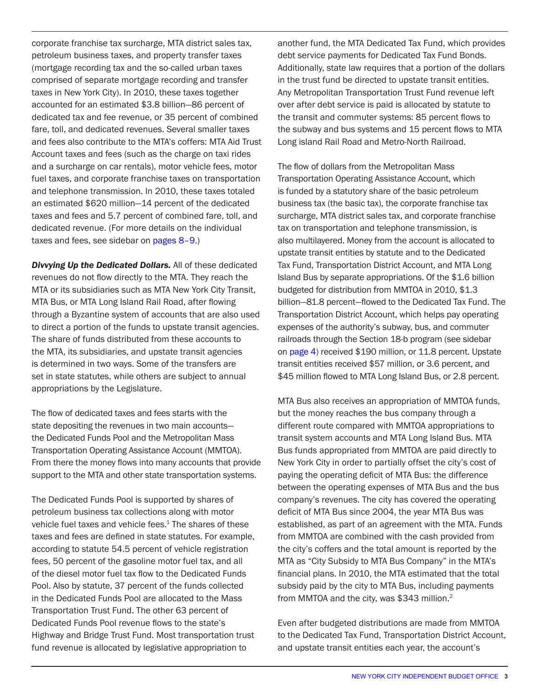corporate franchise tax surcharge, MTA district sales tax, petroleum business taxes, and property transfer taxes (mortgage recording tax and the so-called urban taxes comprised of separate mortgage recording and transfer taxes in New York City). In 2010, these taxes together accounted for an estimated \$3.8 billion—86 percent of dedicated tax and fee revenue, or 35 percent of combined fare, toll, and dedicated revenues. Several smaller taxes and fees also contribute to the MTA's coffers: MTA Aid Trust Account taxes and fees (such as the charge on taxi rides and a surcharge on car rentals), motor vehicle fees, motor fuel taxes, and corporate franchise taxes on transportation and telephone transmission. In 2010, these taxes totaled an estimated \$620 million—14 percent of the dedicated taxes and fees and 5.7 percent of combined fare, toll, and dedicated revenue. (For more details on the individual taxes and fees, see sidebar on [pages 8–9](#page-7-0).)

*Divvying Up the Dedicated Dollars.* All of these dedicated revenues do not flow directly to the MTA. They reach the MTA or its subsidiaries such as MTA New York City Transit, MTA Bus, or MTA Long Island Rail Road, after flowing through a Byzantine system of accounts that are also used to direct a portion of the funds to upstate transit agencies. The share of funds distributed from these accounts to the MTA, its subsidiaries, and upstate transit agencies is determined in two ways. Some of the transfers are set in state statutes, while others are subject to annual appropriations by the Legislature.

The flow of dedicated taxes and fees starts with the state depositing the revenues in two main accounts the Dedicated Funds Pool and the Metropolitan Mass Transportation Operating Assistance Account (MMTOA). From there the money flows into many accounts that provide support to the MTA and other state transportation systems.

The Dedicated Funds Pool is supported by shares of petroleum business tax collections along with motor vehicle fuel taxes and vehicle fees. $1$  The shares of these taxes and fees are defined in state statutes. For example, according to statute 54.5 percent of vehicle registration fees, 50 percent of the gasoline motor fuel tax, and all of the diesel motor fuel tax flow to the Dedicated Funds Pool. Also by statute, 37 percent of the funds collected in the Dedicated Funds Pool are allocated to the Mass Transportation Trust Fund. The other 63 percent of Dedicated Funds Pool revenue flows to the state's Highway and Bridge Trust Fund. Most transportation trust fund revenue is allocated by legislative appropriation to

another fund, the MTA Dedicated Tax Fund, which provides debt service payments for Dedicated Tax Fund Bonds. Additionally, state law requires that a portion of the dollars in the trust fund be directed to upstate transit entities. Any Metropolitan Transportation Trust Fund revenue left over after debt service is paid is allocated by statute to the transit and commuter systems: 85 percent flows to the subway and bus systems and 15 percent flows to MTA Long island Rail Road and Metro-North Railroad.

The flow of dollars from the Metropolitan Mass Transportation Operating Assistance Account, which is funded by a statutory share of the basic petroleum business tax (the basic tax), the corporate franchise tax surcharge, MTA district sales tax, and corporate franchise tax on transportation and telephone transmission, is also multilayered. Money from the account is allocated to upstate transit entities by statute and to the Dedicated Tax Fund, Transportation District Account, and MTA Long Island Bus by separate appropriations. Of the \$1.6 billion budgeted for distribution from MMTOA in 2010, \$1.3 billion—81.8 percent—flowed to the Dedicated Tax Fund. The Transportation District Account, which helps pay operating expenses of the authority's subway, bus, and commuter railroads through the Section 18-b program (see sidebar on [page](#page-3-0) 4) received \$190 million, or 11.8 percent. Upstate transit entities received \$57 million, or 3.6 percent, and \$45 million flowed to MTA Long Island Bus, or 2.8 percent.

MTA Bus also receives an appropriation of MMTOA funds, but the money reaches the bus company through a different route compared with MMTOA appropriations to transit system accounts and MTA Long Island Bus. MTA Bus funds appropriated from MMTOA are paid directly to New York City in order to partially offset the city's cost of paying the operating deficit of MTA Bus: the difference between the operating expenses of MTA Bus and the bus company's revenues. The city has covered the operating deficit of MTA Bus since 2004, the year MTA Bus was established, as part of an agreement with the MTA. Funds from MMTOA are combined with the cash provided from the city's coffers and the total amount is reported by the MTA as "City Subsidy to MTA Bus Company" in the MTA's financial plans. In 2010, the MTA estimated that the total subsidy paid by the city to MTA Bus, including payments from MMTOA and the city, was \$343 million.<sup>2</sup>

Even after budgeted distributions are made from MMTOA to the Dedicated Tax Fund, Transportation District Account, and upstate transit entities each year, the account's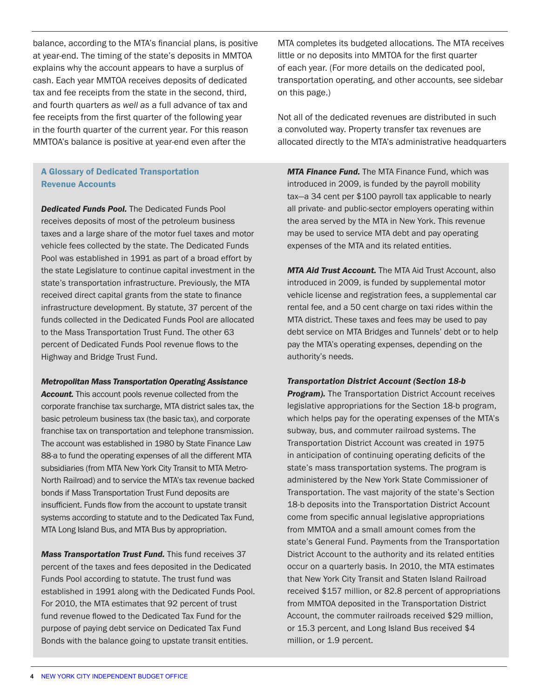<span id="page-3-0"></span>balance, according to the MTA's financial plans, is positive at year-end. The timing of the state's deposits in MMTOA explains why the account appears to have a surplus of cash. Each year MMTOA receives deposits of dedicated tax and fee receipts from the state in the second, third, and fourth quarters *as well as* a full advance of tax and fee receipts from the first quarter of the following year in the fourth quarter of the current year. For this reason MMTOA's balance is positive at year-end even after the

## A Glossary of Dedicated Transportation Revenue Accounts

*Dedicated Funds Pool.* The Dedicated Funds Pool receives deposits of most of the petroleum business taxes and a large share of the motor fuel taxes and motor vehicle fees collected by the state. The Dedicated Funds Pool was established in 1991 as part of a broad effort by the state Legislature to continue capital investment in the state's transportation infrastructure. Previously, the MTA received direct capital grants from the state to finance infrastructure development. By statute, 37 percent of the funds collected in the Dedicated Funds Pool are allocated to the Mass Transportation Trust Fund. The other 63 percent of Dedicated Funds Pool revenue flows to the Highway and Bridge Trust Fund.

#### *Metropolitan Mass Transportation Operating Assistance*

*Account.* This account pools revenue collected from the corporate franchise tax surcharge, MTA district sales tax, the basic petroleum business tax (the basic tax), and corporate franchise tax on transportation and telephone transmission. The account was established in 1980 by State Finance Law 88-a to fund the operating expenses of all the different MTA subsidiaries (from MTA New York City Transit to MTA Metro-North Railroad) and to service the MTA's tax revenue backed bonds if Mass Transportation Trust Fund deposits are insufficient. Funds flow from the account to upstate transit systems according to statute and to the Dedicated Tax Fund, MTA Long Island Bus, and MTA Bus by appropriation.

*Mass Transportation Trust Fund.* This fund receives 37 percent of the taxes and fees deposited in the Dedicated Funds Pool according to statute. The trust fund was established in 1991 along with the Dedicated Funds Pool. For 2010, the MTA estimates that 92 percent of trust fund revenue flowed to the Dedicated Tax Fund for the purpose of paying debt service on Dedicated Tax Fund Bonds with the balance going to upstate transit entities.

MTA completes its budgeted allocations. The MTA receives little or no deposits into MMTOA for the first quarter of each year. (For more details on the dedicated pool, transportation operating, and other accounts, see sidebar on this pag[e.\)](#page-7-0)

Not all of the dedicated revenues are distributed in such a convoluted way. Property transfer tax revenues are allocated directly to the MTA's administrative headquarters

*MTA Finance Fund.* The MTA Finance Fund, which was introduced in 2009, is funded by the payroll mobility tax—a 34 cent per \$100 payroll tax applicable to nearly all private- and public-sector employers operating within the area served by the MTA in New York. This revenue may be used to service MTA debt and pay operating expenses of the MTA and its related entities.

*MTA Aid Trust Account.* The MTA Aid Trust Account, also introduced in 2009, is funded by supplemental motor vehicle license and registration fees, a supplemental car rental fee, and a 50 cent charge on taxi rides within the MTA district. These taxes and fees may be used to pay debt service on MTA Bridges and Tunnels' debt or to help pay the MTA's operating expenses, depending on the authority's needs.

#### *Transportation District Account (Section 18-b*

**Program).** The Transportation District Account receives legislative appropriations for the Section 18-b program, which helps pay for the operating expenses of the MTA's subway, bus, and commuter railroad systems. The Transportation District Account was created in 1975 in anticipation of continuing operating deficits of the state's mass transportation systems. The program is administered by the New York State Commissioner of Transportation. The vast majority of the state's Section 18-b deposits into the Transportation District Account come from specific annual legislative appropriations from MMTOA and a small amount comes from the state's General Fund. Payments from the Transportation District Account to the authority and its related entities occur on a quarterly basis. In 2010, the MTA estimates that New York City Transit and Staten Island Railroad received \$157 million, or 82.8 percent of appropriations from MMTOA deposited in the Transportation District Account, the commuter railroads received \$29 million, or 15.3 percent, and Long Island Bus received \$4 million, or 1.9 percent.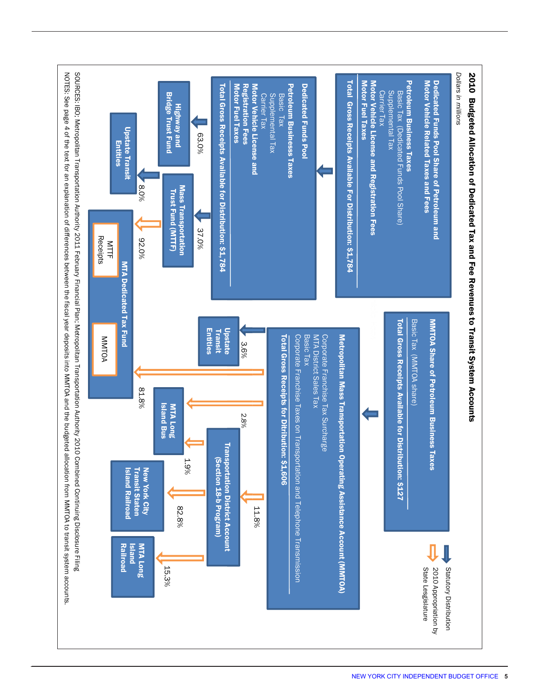<span id="page-4-0"></span>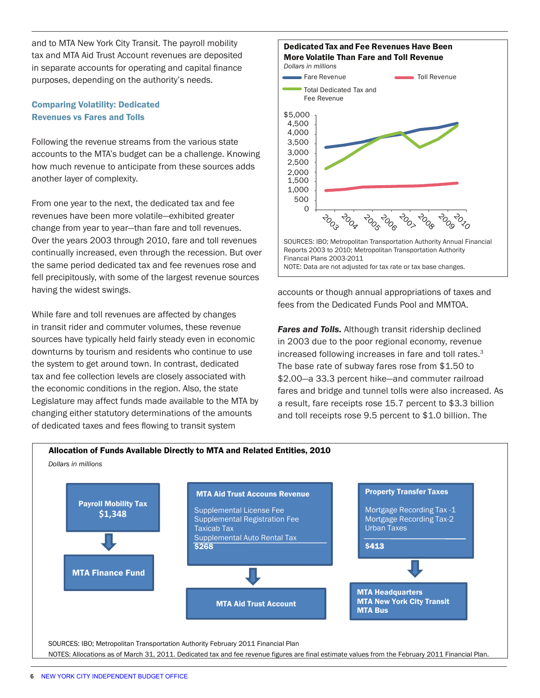and to MTA New York City Transit. The payroll mobility tax and MTA Aid Trust Account revenues are deposited in separate accounts for operating and capital finance purposes, depending on the authority's needs.

### Comparing Volatility: Dedicated Revenues vs Fares and Tolls

Following the revenue streams from the various state accounts to the MTA's budget can be a challenge. Knowing how much revenue to anticipate from these sources adds another layer of complexity.

From one year to the next, the dedicated tax and fee revenues have been more volatile—exhibited greater change from year to year—than fare and toll revenues. Over the years 2003 through 2010, fare and toll revenues continually increased, even through the recession. But over the same period dedicated tax and fee revenues rose and fell precipitously, with some of the largest revenue sources having the widest swings.

While fare and toll revenues are affected by changes in transit rider and commuter volumes, these revenue sources have typically held fairly steady even in economic downturns by tourism and residents who continue to use the system to get around town. In contrast, dedicated tax and fee collection levels are closely associated with the economic conditions in the region. Also, the state Legislature may affect funds made available to the MTA by changing either statutory determinations of the amounts of dedicated taxes and fees flowing to transit system



accounts or though annual appropriations of taxes and fees from the Dedicated Funds Pool and MMTOA.

**Fares and Tolls.** Although transit ridership declined in 2003 due to the poor regional economy, revenue increased following increases in fare and toll rates.<sup>3</sup> The base rate of subway fares rose from \$1.50 to \$2.00—a 33.3 percent hike—and commuter railroad fares and bridge and tunnel tolls were also increased. As a result, fare receipts rose 15.7 percent to \$3.3 billion and toll receipts rose 9.5 percent to \$1.0 billion. The

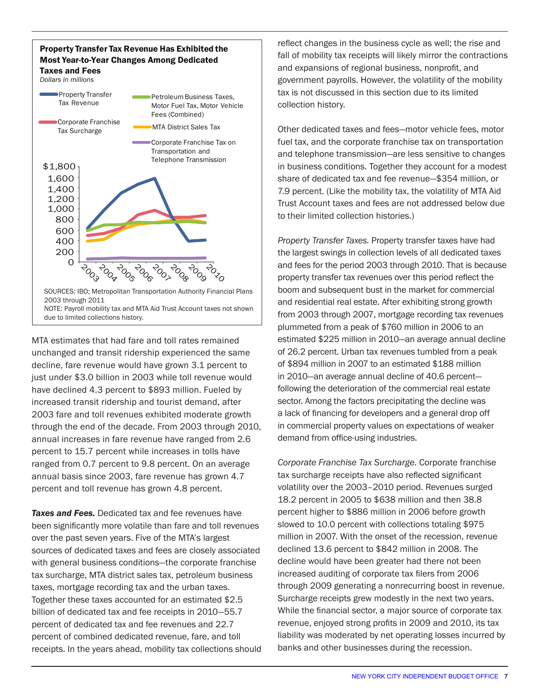

MTA estimates that had fare and toll rates remained unchanged and transit ridership experienced the same decline, fare revenue would have grown 3.1 percent to just under \$3.0 billion in 2003 while toll revenue would have declined 4.3 percent to \$893 million. Fueled by increased transit ridership and tourist demand, after 2003 fare and toll revenues exhibited moderate growth through the end of the decade. From 2003 through 2010, annual increases in fare revenue have ranged from 2.6 percent to 15.7 percent while increases in tolls have ranged from 0.7 percent to 9.8 percent. On an average annual basis since 2003, fare revenue has grown 4.7 percent and toll revenue has grown 4.8 percent.

**Taxes and Fees.** Dedicated tax and fee revenues have been significantly more volatile than fare and toll revenues over the past seven years. Five of the MTA's largest sources of dedicated taxes and fees are closely associated with general business conditions—the corporate franchise tax surcharge, MTA district sales tax, petroleum business taxes, mortgage recording tax and the urban taxes. Together these taxes accounted for an estimated \$2.5 billion of dedicated tax and fee receipts in 2010—55.7 percent of dedicated tax and fee revenues and 22.7 percent of combined dedicated revenue, fare, and toll receipts. In the years ahead, mobility tax collections should reflect changes in the business cycle as well; the rise and fall of mobility tax receipts will likely mirror the contractions and expansions of regional business, nonprofit, and government payrolls. However, the volatility of the mobility tax is not discussed in this section due to its limited collection history.

Other dedicated taxes and fees—motor vehicle fees, motor fuel tax, and the corporate franchise tax on transportation and telephone transmission—are less sensitive to changes in business conditions. Together they account for a modest share of dedicated tax and fee revenue—\$354 million, or 7.9 percent. (Like the mobility tax, the volatility of MTA Aid Trust Account taxes and fees are not addressed below due to their limited collection histories.)

*Property Transfer Taxes.* Property transfer taxes have had the largest swings in collection levels of all dedicated taxes and fees for the period 2003 through 2010. That is because property transfer tax revenues over this period reflect the boom and subsequent bust in the market for commercial and residential real estate. After exhibiting strong growth from 2003 through 2007, mortgage recording tax revenues plummeted from a peak of \$760 million in 2006 to an estimated \$225 million in 2010—an average annual decline of 26.2 percent. Urban tax revenues tumbled from a peak of \$894 million in 2007 to an estimated \$188 million in 2010—an average annual decline of 40.6 percent following the deterioration of the commercial real estate sector. Among the factors precipitating the decline was a lack of financing for developers and a general drop off in commercial property values on expectations of weaker demand from office-using industries.

*Corporate Franchise Tax Surcharge.* Corporate franchise tax surcharge receipts have also reflected significant volatility over the 2003–2010 period. Revenues surged 18.2 percent in 2005 to \$638 million and then 38.8 percent higher to \$886 million in 2006 before growth slowed to 10.0 percent with collections totaling \$975 million in 2007. With the onset of the recession, revenue declined 13.6 percent to \$842 million in 2008. The decline would have been greater had there not been increased auditing of corporate tax filers from 2006 through 2009 generating a nonrecurring boost in revenue. Surcharge receipts grew modestly in the next two years. While the financial sector, a major source of corporate tax revenue, enjoyed strong profits in 2009 and 2010, its tax liability was moderated by net operating losses incurred by banks and other businesses during the recession.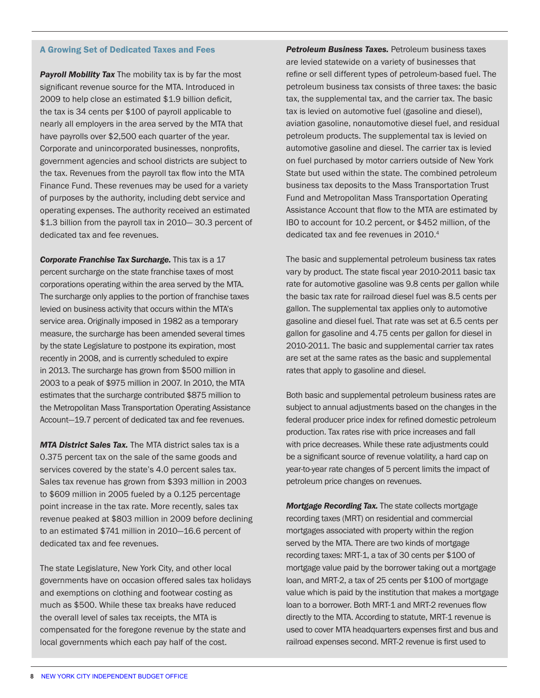#### <span id="page-7-0"></span>A Growing Set of Dedicated Taxes and Fees

**Payroll Mobility Tax** The mobility tax is by far the most significant revenue source for the MTA. Introduced in 2009 to help close an estimated \$1.9 billion deficit, the tax is 34 cents per \$100 of payroll applicable to nearly all employers in the area served by the MTA that have payrolls over \$2,500 each quarter of the year. Corporate and unincorporated businesses, nonprofits, government agencies and school districts are subject to the tax. Revenues from the payroll tax flow into the MTA Finance Fund. These revenues may be used for a variety of purposes by the authority, including debt service and operating expenses. The authority received an estimated \$1.3 billion from the payroll tax in 2010— 30.3 percent of dedicated tax and fee revenues.

**Corporate Franchise Tax Surcharge.** This tax is a 17 percent surcharge on the state franchise taxes of most corporations operating within the area served by the MTA. The surcharge only applies to the portion of franchise taxes levied on business activity that occurs within the MTA's service area. Originally imposed in 1982 as a temporary measure, the surcharge has been amended several times by the state Legislature to postpone its expiration, most recently in 2008, and is currently scheduled to expire in 2013. The surcharge has grown from \$500 million in 2003 to a peak of \$975 million in 2007. In 2010, the MTA estimates that the surcharge contributed \$875 million to the Metropolitan Mass Transportation Operating Assistance Account—19.7 percent of dedicated tax and fee revenues.

*MTA District Sales Tax.* The MTA district sales tax is a 0.375 percent tax on the sale of the same goods and services covered by the state's 4.0 percent sales tax. Sales tax revenue has grown from \$393 million in 2003 to \$609 million in 2005 fueled by a 0.125 percentage point increase in the tax rate. More recently, sales tax revenue peaked at \$803 million in 2009 before declining to an estimated \$741 million in 2010—16.6 percent of dedicated tax and fee revenues.

The state Legislature, New York City, and other local governments have on occasion offered sales tax holidays and exemptions on clothing and footwear costing as much as \$500. While these tax breaks have reduced the overall level of sales tax receipts, the MTA is compensated for the foregone revenue by the state and local governments which each pay half of the cost.

**Petroleum Business Taxes.** Petroleum business taxes are levied statewide on a variety of businesses that refine or sell different types of petroleum-based fuel. The petroleum business tax consists of three taxes: the basic tax, the supplemental tax, and the carrier tax. The basic tax is levied on automotive fuel (gasoline and diesel), aviation gasoline, nonautomotive diesel fuel, and residual petroleum products. The supplemental tax is levied on automotive gasoline and diesel. The carrier tax is levied on fuel purchased by motor carriers outside of New York State but used within the state. The combined petroleum business tax deposits to the Mass Transportation Trust Fund and Metropolitan Mass Transportation Operating Assistance Account that flow to the MTA are estimated by IBO to account for 10.2 percent, or \$452 million, of the dedicated tax and fee revenues in 2010.<sup>4</sup>

The basic and supplemental petroleum business tax rates vary by product. The state fiscal year 2010-2011 basic tax rate for automotive gasoline was 9.8 cents per gallon while the basic tax rate for railroad diesel fuel was 8.5 cents per gallon. The supplemental tax applies only to automotive gasoline and diesel fuel. That rate was set at 6.5 cents per gallon for gasoline and 4.75 cents per gallon for diesel in 2010-2011. The basic and supplemental carrier tax rates are set at the same rates as the basic and supplemental rates that apply to gasoline and diesel.

Both basic and supplemental petroleum business rates are subject to annual adjustments based on the changes in the federal producer price index for refined domestic petroleum production. Tax rates rise with price increases and fall with price decreases. While these rate adjustments could be a significant source of revenue volatility, a hard cap on year-to-year rate changes of 5 percent limits the impact of petroleum price changes on revenues.

*Mortgage Recording Tax.* The state collects mortgage recording taxes (MRT) on residential and commercial mortgages associated with property within the region served by the MTA. There are two kinds of mortgage recording taxes: MRT-1, a tax of 30 cents per \$100 of mortgage value paid by the borrower taking out a mortgage loan, and MRT-2, a tax of 25 cents per \$100 of mortgage value which is paid by the institution that makes a mortgage loan to a borrower. Both MRT-1 and MRT-2 revenues flow directly to the MTA. According to statute, MRT-1 revenue is used to cover MTA headquarters expenses first and bus and railroad expenses second. MRT-2 revenue is first used to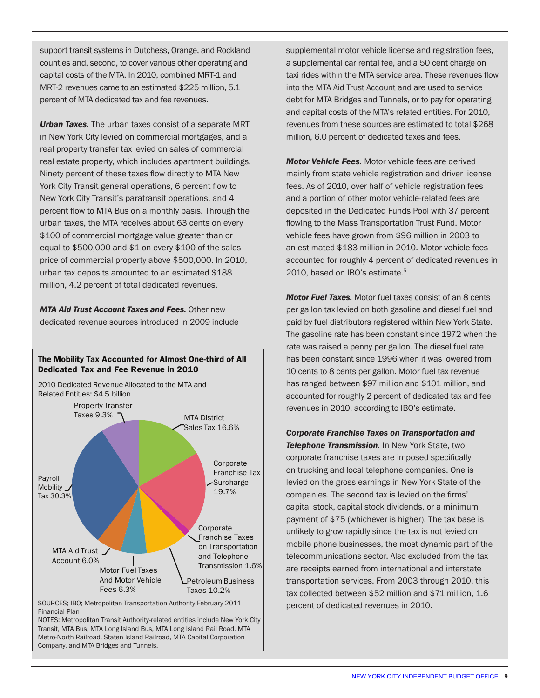support transit systems in Dutchess, Orange, and Rockland counties and, second, to cover various other operating and capital costs of the MTA. In 2010, combined MRT-1 and MRT-2 revenues came to an estimated \$225 million, 5.1 percent of MTA dedicated tax and fee revenues.

*Urban Taxes.* The urban taxes consist of a separate MRT in New York City levied on commercial mortgages, and a real property transfer tax levied on sales of commercial real estate property, which includes apartment buildings. Ninety percent of these taxes flow directly to MTA New York City Transit general operations, 6 percent flow to New York City Transit's paratransit operations, and 4 percent flow to MTA Bus on a monthly basis. Through the urban taxes, the MTA receives about 63 cents on every \$100 of commercial mortgage value greater than or equal to \$500,000 and \$1 on every \$100 of the sales price of commercial property above \$500,000. In 2010, urban tax deposits amounted to an estimated \$188 million, 4.2 percent of total dedicated revenues.

*MTA Aid Trust Account Taxes and Fees.* Other new dedicated revenue sources introduced in 2009 include



SOURCES; IBO; Metropolitan Transportation Authority February 2011 Financial Plan

NOTES: Metropolitan Transit Authority-related entities include New York City Transit, MTA Bus, MTA Long Island Bus, MTA Long Island Rail Road, MTA Metro-North Railroad, Staten Island Railroad, MTA Capital Corporation Company, and MTA Bridges and Tunnels.

supplemental motor vehicle license and registration fees, a supplemental car rental fee, and a 50 cent charge on taxi rides within the MTA service area. These revenues flow into the MTA Aid Trust Account and are used to service debt for MTA Bridges and Tunnels, or to pay for operating and capital costs of the MTA's related entities. For 2010, revenues from these sources are estimated to total \$268 million, 6.0 percent of dedicated taxes and fees.

*Motor Vehicle Fees.* Motor vehicle fees are derived mainly from state vehicle registration and driver license fees. As of 2010, over half of vehicle registration fees and a portion of other motor vehicle-related fees are deposited in the Dedicated Funds Pool with 37 percent flowing to the Mass Transportation Trust Fund. Motor vehicle fees have grown from \$96 million in 2003 to an estimated \$183 million in 2010. Motor vehicle fees accounted for roughly 4 percent of dedicated revenues in 2010, based on IBO's estimate.<sup>5</sup>

*Motor Fuel Taxes.* Motor fuel taxes consist of an 8 cents per gallon tax levied on both gasoline and diesel fuel and paid by fuel distributors registered within New York State. The gasoline rate has been constant since 1972 when the rate was raised a penny per gallon. The diesel fuel rate has been constant since 1996 when it was lowered from 10 cents to 8 cents per gallon. Motor fuel tax revenue has ranged between \$97 million and \$101 million, and accounted for roughly 2 percent of dedicated tax and fee revenues in 2010, according to IBO's estimate.

*Corporate Franchise Taxes on Transportation and*  **Telephone Transmission.** In New York State, two corporate franchise taxes are imposed specifically on trucking and local telephone companies. One is levied on the gross earnings in New York State of the companies. The second tax is levied on the firms' capital stock, capital stock dividends, or a minimum payment of \$75 (whichever is higher). The tax base is unlikely to grow rapidly since the tax is not levied on mobile phone businesses, the most dynamic part of the telecommunications sector. Also excluded from the tax are receipts earned from international and interstate transportation services. From 2003 through 2010, this tax collected between \$52 million and \$71 million, 1.6 percent of dedicated revenues in 2010.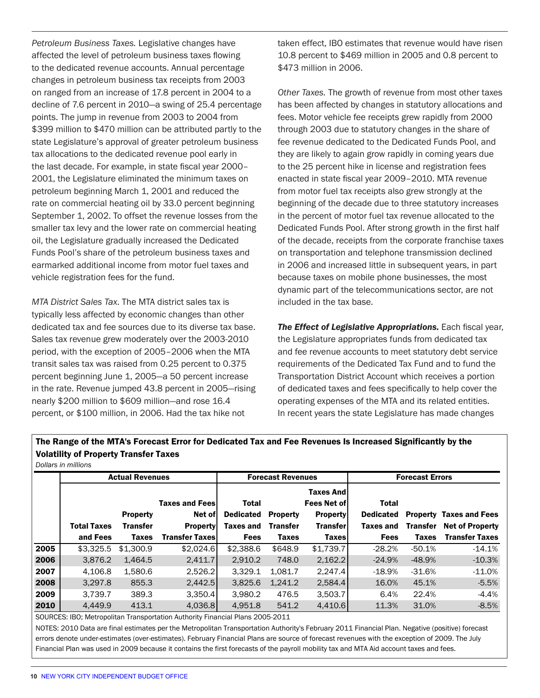*Petroleum Business Taxes.* Legislative changes have affected the level of petroleum business taxes flowing to the dedicated revenue accounts. Annual percentage changes in petroleum business tax receipts from 2003 on ranged from an increase of 17.8 percent in 2004 to a decline of 7.6 percent in 2010—a swing of 25.4 percentage points. The jump in revenue from 2003 to 2004 from \$399 million to \$470 million can be attributed partly to the state Legislature's approval of greater petroleum business tax allocations to the dedicated revenue pool early in the last decade. For example, in state fiscal year 2000– 2001, the Legislature eliminated the minimum taxes on petroleum beginning March 1, 2001 and reduced the rate on commercial heating oil by 33.0 percent beginning September 1, 2002. To offset the revenue losses from the smaller tax levy and the lower rate on commercial heating oil, the Legislature gradually increased the Dedicated Funds Pool's share of the petroleum business taxes and earmarked additional income from motor fuel taxes and vehicle registration fees for the fund.

*MTA District Sales Tax*. The MTA district sales tax is typically less affected by economic changes than other dedicated tax and fee sources due to its diverse tax base. Sales tax revenue grew moderately over the 2003-2010 period, with the exception of 2005–2006 when the MTA transit sales tax was raised from 0.25 percent to 0.375 percent beginning June 1, 2005—a 50 percent increase in the rate. Revenue jumped 43.8 percent in 2005—rising nearly \$200 million to \$609 million—and rose 16.4 percent, or \$100 million, in 2006. Had the tax hike not

taken effect, IBO estimates that revenue would have risen 10.8 percent to \$469 million in 2005 and 0.8 percent to \$473 million in 2006.

*Other Taxes.* The growth of revenue from most other taxes has been affected by changes in statutory allocations and fees. Motor vehicle fee receipts grew rapidly from 2000 through 2003 due to statutory changes in the share of fee revenue dedicated to the Dedicated Funds Pool, and they are likely to again grow rapidly in coming years due to the 25 percent hike in license and registration fees enacted in state fiscal year 2009–2010. MTA revenue from motor fuel tax receipts also grew strongly at the beginning of the decade due to three statutory increases in the percent of motor fuel tax revenue allocated to the Dedicated Funds Pool. After strong growth in the first half of the decade, receipts from the corporate franchise taxes on transportation and telephone transmission declined in 2006 and increased little in subsequent years, in part because taxes on mobile phone businesses, the most dynamic part of the telecommunications sector, are not included in the tax base.

*The Effect of Legislative Appropriations.* Each fiscal year, the Legislature appropriates funds from dedicated tax and fee revenue accounts to meet statutory debt service requirements of the Dedicated Tax Fund and to fund the Transportation District Account which receives a portion of dedicated taxes and fees specifically to help cover the operating expenses of the MTA and its related entities. In recent years the state Legislature has made changes

## The Range of the MTA's Forecast Error for Dedicated Tax and Fee Revenues Is Increased Significantly by the Volatility of Property Transfer Taxes

*Dollars in millions*

|      | <b>Actual Revenues</b> |                                    |                                                    | <b>Forecast Revenues</b>               |                                    |                                                                               | <b>Forecast Errors</b>                 |                 |                                                          |
|------|------------------------|------------------------------------|----------------------------------------------------|----------------------------------------|------------------------------------|-------------------------------------------------------------------------------|----------------------------------------|-----------------|----------------------------------------------------------|
|      | <b>Total Taxes</b>     | <b>Property</b><br><b>Transfer</b> | <b>Taxes and Fees</b><br>Net of<br><b>Property</b> | Total<br><b>Dedicated</b><br>Taxes and | <b>Property</b><br><b>Transfer</b> | <b>Taxes Andl</b><br><b>Fees Net of</b><br><b>Property</b><br><b>Transfer</b> | Total<br><b>Dedicated</b><br>Taxes and | <b>Transfer</b> | <b>Property Taxes and Fees</b><br><b>Net of Property</b> |
|      | and Fees               | <b>Taxes</b>                       | <b>Transfer Taxes</b>                              | <b>Fees</b>                            | <b>Taxes</b>                       | <b>Taxes</b>                                                                  | <b>Fees</b>                            | <b>Taxes</b>    | <b>Transfer Taxes</b>                                    |
| 2005 | \$3,325.5              | \$1,300.9                          | \$2,024.6                                          | \$2,388.6                              | \$648.9                            | \$1,739.7                                                                     | $-28.2%$                               | $-50.1%$        | $-14.1%$                                                 |
| 2006 | 3,876.2                | 1.464.5                            | 2,411.7                                            | 2,910.2                                | 748.0                              | 2,162.2                                                                       | $-24.9%$                               | $-48.9%$        | $-10.3%$                                                 |
| 2007 | 4.106.8                | 1.580.6                            | 2,526.2                                            | 3.329.1                                | 1.081.7                            | 2.247.4                                                                       | $-18.9\%$                              | $-31.6%$        | $-11.0%$                                                 |
| 2008 | 3,297.8                | 855.3                              | 2,442.5                                            | 3,825.6                                | 1,241.2                            | 2,584.4                                                                       | 16.0%                                  | 45.1%           | $-5.5%$                                                  |
| 2009 | 3.739.7                | 389.3                              | 3,350.4                                            | 3.980.2                                | 476.5                              | 3,503.7                                                                       | 6.4%                                   | 22.4%           | $-4.4%$                                                  |
| 2010 | 4.449.9                | 413.1                              | 4.036.8                                            | 4.951.8                                | 541.2                              | 4.410.6                                                                       | 11.3%                                  | 31.0%           | $-8.5%$                                                  |

SOURCES: IBO; Metropolitan Transportation Authority Financial Plans 2005-2011

NOTES: 2010 Data are final estimates per the Metropolitan Transportation Authority's February 2011 Financial Plan. Negative (positive) forecast errors denote under-estimates (over-estimates). February Financial Plans are source of forecast revenues with the exception of 2009. The July Financial Plan was used in 2009 because it contains the first forecasts of the payroll mobility tax and MTA Aid account taxes and fees.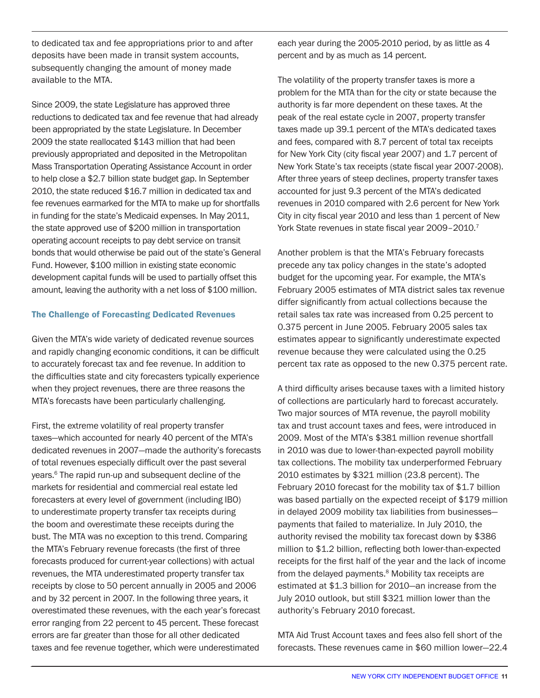to dedicated tax and fee appropriations prior to and after deposits have been made in transit system accounts, subsequently changing the amount of money made available to the MTA.

Since 2009, the state Legislature has approved three reductions to dedicated tax and fee revenue that had already been appropriated by the state Legislature. In December 2009 the state reallocated \$143 million that had been previously appropriated and deposited in the Metropolitan Mass Transportation Operating Assistance Account in order to help close a \$2.7 billion state budget gap. In September 2010, the state reduced \$16.7 million in dedicated tax and fee revenues earmarked for the MTA to make up for shortfalls in funding for the state's Medicaid expenses. In May 2011, the state approved use of \$200 million in transportation operating account receipts to pay debt service on transit bonds that would otherwise be paid out of the state's General Fund. However, \$100 million in existing state economic development capital funds will be used to partially offset this amount, leaving the authority with a net loss of \$100 million.

#### The Challenge of Forecasting Dedicated Revenues

Given the MTA's wide variety of dedicated revenue sources and rapidly changing economic conditions, it can be difficult to accurately forecast tax and fee revenue. In addition to the difficulties state and city forecasters typically experience when they project revenues, there are three reasons the MTA's forecasts have been particularly challenging.

First, the extreme volatility of real property transfer taxes—which accounted for nearly 40 percent of the MTA's dedicated revenues in 2007—made the authority's forecasts of total revenues especially difficult over the past several years.<sup>6</sup> The rapid run-up and subsequent decline of the markets for residential and commercial real estate led forecasters at every level of government (including IBO) to underestimate property transfer tax receipts during the boom and overestimate these receipts during the bust. The MTA was no exception to this trend. Comparing the MTA's February revenue forecasts (the first of three forecasts produced for current-year collections) with actual revenues, the MTA underestimated property transfer tax receipts by close to 50 percent annually in 2005 and 2006 and by 32 percent in 2007. In the following three years, it overestimated these revenues, with the each year's forecast error ranging from 22 percent to 45 percent. These forecast errors are far greater than those for all other dedicated taxes and fee revenue together, which were underestimated

each year during the 2005-2010 period, by as little as 4 percent and by as much as 14 percent.

The volatility of the property transfer taxes is more a problem for the MTA than for the city or state because the authority is far more dependent on these taxes. At the peak of the real estate cycle in 2007, property transfer taxes made up 39.1 percent of the MTA's dedicated taxes and fees, compared with 8.7 percent of total tax receipts for New York City (city fiscal year 2007) and 1.7 percent of New York State's tax receipts (state fiscal year 2007-2008). After three years of steep declines, property transfer taxes accounted for just 9.3 percent of the MTA's dedicated revenues in 2010 compared with 2.6 percent for New York City in city fiscal year 2010 and less than 1 percent of New York State revenues in state fiscal year 2009-2010.<sup>7</sup>

Another problem is that the MTA's February forecasts precede any tax policy changes in the state's adopted budget for the upcoming year. For example, the MTA's February 2005 estimates of MTA district sales tax revenue differ significantly from actual collections because the retail sales tax rate was increased from 0.25 percent to 0.375 percent in June 2005. February 2005 sales tax estimates appear to significantly underestimate expected revenue because they were calculated using the 0.25 percent tax rate as opposed to the new 0.375 percent rate.

A third difficulty arises because taxes with a limited history of collections are particularly hard to forecast accurately. Two major sources of MTA revenue, the payroll mobility tax and trust account taxes and fees, were introduced in 2009. Most of the MTA's \$381 million revenue shortfall in 2010 was due to lower-than-expected payroll mobility tax collections. The mobility tax underperformed February 2010 estimates by \$321 million (23.8 percent). The February 2010 forecast for the mobility tax of \$1.7 billion was based partially on the expected receipt of \$179 million in delayed 2009 mobility tax liabilities from businesses payments that failed to materialize. In July 2010, the authority revised the mobility tax forecast down by \$386 million to \$1.2 billion, reflecting both lower-than-expected receipts for the first half of the year and the lack of income from the delayed payments. $8$  Mobility tax receipts are estimated at \$1.3 billion for 2010—an increase from the July 2010 outlook, but still \$321 million lower than the authority's February 2010 forecast.

MTA Aid Trust Account taxes and fees also fell short of the forecasts. These revenues came in \$60 million lower—22.4